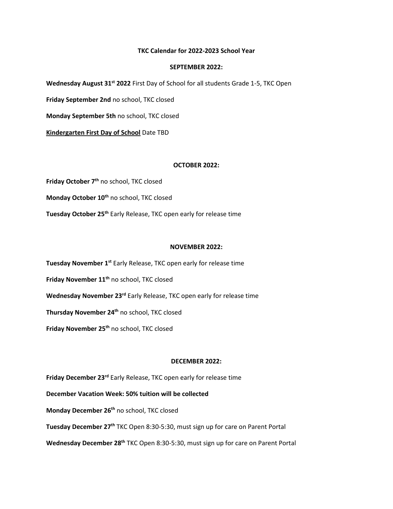## **TKC Calendar for 2022-2023 School Year**

## **SEPTEMBER 2022:**

**Wednesday August 31st 2022** First Day of School for all students Grade 1-5, TKC Open

**Friday September 2nd** no school, TKC closed

**Monday September 5th** no school, TKC closed

**Kindergarten First Day of School** Date TBD

## **OCTOBER 2022:**

Friday October 7<sup>th</sup> no school, TKC closed Monday October 10<sup>th</sup> no school, TKC closed Tuesday October 25<sup>th</sup> Early Release, TKC open early for release time

#### **NOVEMBER 2022:**

Tuesday November 1<sup>st</sup> Early Release, TKC open early for release time

**Friday November 11th** no school, TKC closed

**Wednesday November 23rd** Early Release, TKC open early for release time

**Thursday November 24th** no school, TKC closed

**Friday November 25th** no school, TKC closed

## **DECEMBER 2022:**

**Friday December 23rd** Early Release, TKC open early for release time

**December Vacation Week: 50% tuition will be collected**

**Monday December 26th** no school, TKC closed

**Tuesday December 27th** TKC Open 8:30-5:30, must sign up for care on Parent Portal

Wednesday December 28<sup>th</sup> TKC Open 8:30-5:30, must sign up for care on Parent Portal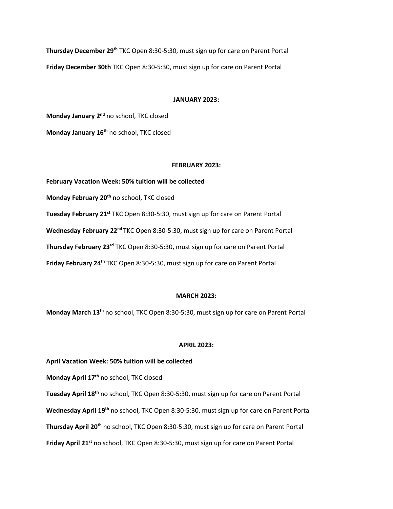**Thursday December 29th** TKC Open 8:30-5:30, must sign up for care on Parent Portal **Friday December 30th** TKC Open 8:30-5:30, must sign up for care on Parent Portal

## **JANUARY 2023:**

**Monday January 2nd** no school, TKC closed **Monday January 16th** no school, TKC closed

#### **FEBRUARY 2023:**

**February Vacation Week: 50% tuition will be collected Monday February 20th** no school, TKC closed **Tuesday February 21st** TKC Open 8:30-5:30, must sign up for care on Parent Portal **Wednesday February 22nd** TKC Open 8:30-5:30, must sign up for care on Parent Portal **Thursday February 23rd** TKC Open 8:30-5:30, must sign up for care on Parent Portal **Friday February 24<sup>th</sup> TKC Open 8:30-5:30, must sign up for care on Parent Portal** 

## **MARCH 2023:**

**Monday March 13th** no school, TKC Open 8:30-5:30, must sign up for care on Parent Portal

## **APRIL 2023:**

## **April Vacation Week: 50% tuition will be collected**

**Monday April 17th** no school, TKC closed

**Tuesday April 18th** no school, TKC Open 8:30-5:30, must sign up for care on Parent Portal **Wednesday April 19th** no school, TKC Open 8:30-5:30, must sign up for care on Parent Portal **Thursday April 20th** no school, TKC Open 8:30-5:30, must sign up for care on Parent Portal **Friday April 21st** no school, TKC Open 8:30-5:30, must sign up for care on Parent Portal